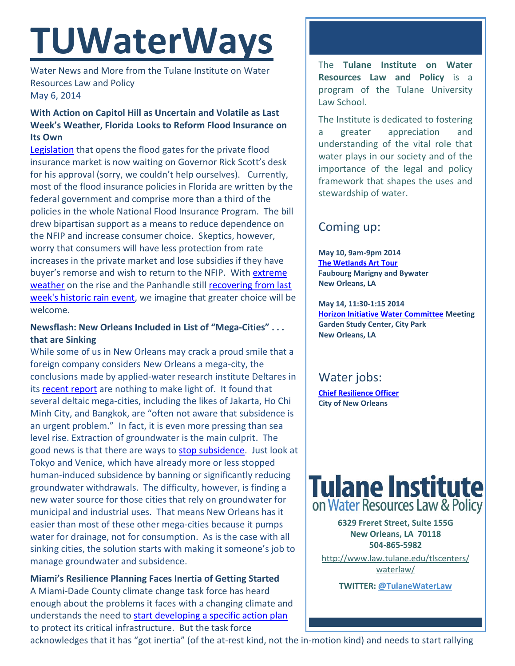# **TUWaterWays**

Water News and More from the Tulane Institute on Water Resources Law and Policy May 6, 2014

## **With Action on Capitol Hill as Uncertain and Volatile as Last Week's Weather, Florida Looks to Reform Flood Insurance on Its Own**

[Legislation](http://www.flsenate.gov/Session/Bill/2014/0542/BillText/er/PDF) that opens the flood gates for the private flood insurance market is now waiting on Governor Rick Scott's desk for his approval (sorry, we couldn't help ourselves). Currently, most of the flood insurance policies in Florida are written by the federal government and comprise more than a third of the policies in the whole National Flood Insurance Program. The bill drew bipartisan support as a means to reduce dependence on the NFIP and increase consumer choice. Skeptics, however, worry that consumers will have less protection from rate increases in the private market and lose subsidies if they have buyer's remorse and wish to return to the NFIP. With extreme [weather](http://www.ncdc.noaa.gov/extremes/cei/graph/4/01-12) on the rise and the Panhandle still [recovering from last](http://www.cnn.com/2014/04/30/us/severe-weather/)  [week's historic rain event,](http://www.cnn.com/2014/04/30/us/severe-weather/) we imagine that greater choice will be welcome.

## **Newsflash: New Orleans Included in List of "Mega-Cities" . . . that are Sinking**

While some of us in New Orleans may crack a proud smile that a foreign company considers New Orleans a mega-city, the conclusions made by applied-water research institute Deltares in its [recent report](http://www.deltares.nl/en/news/news-item/item/17268/subsidence-in-megacities-on-the-coast-greater-than-absolute-sea-level-rise) are nothing to make light of. It found that several deltaic mega-cities, including the likes of Jakarta, Ho Chi Minh City, and Bangkok, are "often not aware that subsidence is an urgent problem." In fact, it is even more pressing than sea level rise. Extraction of groundwater is the main culprit. The good news is that there are ways to [stop subsidence.](http://www.bbc.com/news/science-environment-27202192) Just look at Tokyo and Venice, which have already more or less stopped human-induced subsidence by banning or significantly reducing groundwater withdrawals. The difficulty, however, is finding a new water source for those cities that rely on groundwater for municipal and industrial uses. That means New Orleans has it easier than most of these other mega-cities because it pumps water for drainage, not for consumption. As is the case with all sinking cities, the solution starts with making it someone's job to manage groundwater and subsidence.

**Miami's Resilience Planning Faces Inertia of Getting Started**  A Miami-Dade County climate change task force has heard enough about the problems it faces with a changing climate and understands the need to [start developing a specific action plan](http://www.miamiherald.com/2014/04/28/4085935/task-force-on-rising-seas-says.html) to protect its critical infrastructure. But the task force

The **Tulane Institute on Water Resources Law and Policy** is a program of the Tulane University Law School.

The Institute is dedicated to fostering a greater appreciation and understanding of the vital role that water plays in our society and of the importance of the legal and policy framework that shapes the uses and stewardship of water.

# Coming up:

**May 10, 9am-9pm 2014 [The Wetlands Art Tour](http://www.bestofneworleans.com/gambit/wetlands-art-tour/Content?oid=2430402) Faubourg Marigny and Bywater New Orleans, LA**

**May 14, 11:30-1:15 2014 [Horizon Initiative Water Committee](http://www.watershednola.org/) Meeting Garden Study Center, City Park New Orleans, LA**

# Water jobs:

**[Chief Resilience Officer](http://www.nola.gov/jobs/) City of New Orleans** 



**6329 Freret Street, Suite 155G New Orleans, LA 70118 504-865-5982** 

[http://www.law.tulane.edu/tlscenters/](http://www.law.tulane.edu/tlscenters/waterlaw/) [waterlaw/](http://www.law.tulane.edu/tlscenters/waterlaw/)

**TWITTER[: @TulaneWaterLaw](http://www.twitter.com/TulaneWaterLaw)**

acknowledges that it has "got inertia" (of the at-rest kind, not the in-motion kind) and needs to start rallying